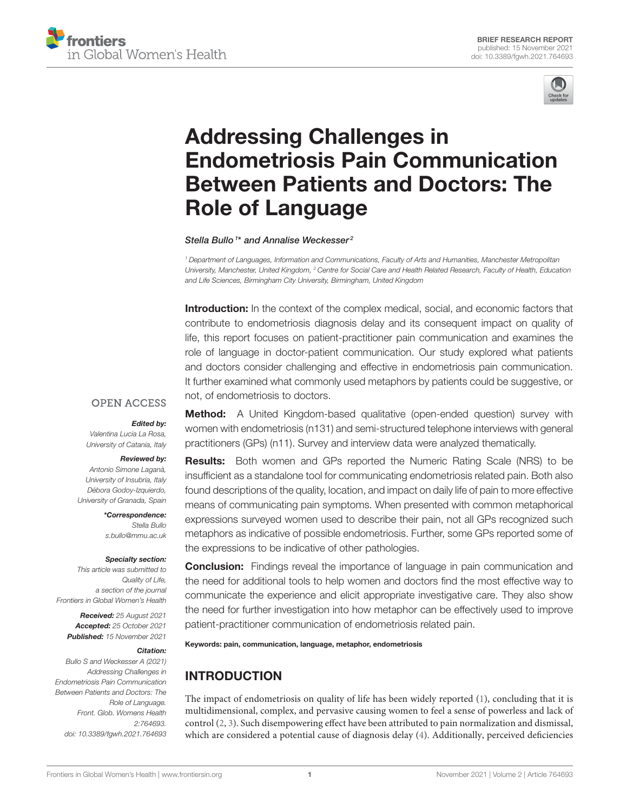



# Addressing Challenges in [Endometriosis Pain Communication](https://www.frontiersin.org/articles/10.3389/fgwh.2021.764693/full) Between Patients and Doctors: The Role of Language

Stella Bullo<sup>1\*</sup> and Annalise Weckesser<sup>2</sup>

<sup>1</sup> Department of Languages, Information and Communications, Faculty of Arts and Humanities, Manchester Metropolitan University, Manchester, United Kingdom, <sup>2</sup> Centre for Social Care and Health Related Research, Faculty of Health, Education and Life Sciences, Birmingham City University, Birmingham, United Kingdom

Introduction: In the context of the complex medical, social, and economic factors that contribute to endometriosis diagnosis delay and its consequent impact on quality of life, this report focuses on patient-practitioner pain communication and examines the role of language in doctor-patient communication. Our study explored what patients and doctors consider challenging and effective in endometriosis pain communication. It further examined what commonly used metaphors by patients could be suggestive, or not, of endometriosis to doctors.

## **OPEN ACCESS**

#### Edited by:

Valentina Lucia La Rosa, University of Catania, Italy

#### Reviewed by:

Antonio Simone Laganà, University of Insubria, Italy Débora Godoy-Izquierdo, University of Granada, Spain

> \*Correspondence: Stella Bullo [s.bullo@mmu.ac.uk](mailto:s.bullo@mmu.ac.uk)

#### Specialty section:

This article was submitted to Quality of Life, a section of the journal Frontiers in Global Women's Health

Received: 25 August 2021 Accepted: 25 October 2021 Published: 15 November 2021

#### Citation:

Bullo S and Weckesser A (2021) Addressing Challenges in Endometriosis Pain Communication Between Patients and Doctors: The Role of Language. Front. Glob. Womens Health 2:764693. doi: [10.3389/fgwh.2021.764693](https://doi.org/10.3389/fgwh.2021.764693) **Method:** A United Kingdom-based qualitative (open-ended question) survey with women with endometriosis (n131) and semi-structured telephone interviews with general practitioners (GPs) (n11). Survey and interview data were analyzed thematically.

Results: Both women and GPs reported the Numeric Rating Scale (NRS) to be insufficient as a standalone tool for communicating endometriosis related pain. Both also found descriptions of the quality, location, and impact on daily life of pain to more effective means of communicating pain symptoms. When presented with common metaphorical expressions surveyed women used to describe their pain, not all GPs recognized such metaphors as indicative of possible endometriosis. Further, some GPs reported some of the expressions to be indicative of other pathologies.

**Conclusion:** Findings reveal the importance of language in pain communication and the need for additional tools to help women and doctors find the most effective way to communicate the experience and elicit appropriate investigative care. They also show the need for further investigation into how metaphor can be effectively used to improve patient-practitioner communication of endometriosis related pain.

Keywords: pain, communication, language, metaphor, endometriosis

# INTRODUCTION

The impact of endometriosis on quality of life has been widely reported [\(1\)](#page-5-0), concluding that it is multidimensional, complex, and pervasive causing women to feel a sense of powerless and lack of control [\(2,](#page-5-1) [3\)](#page-5-2). Such disempowering effect have been attributed to pain normalization and dismissal, which are considered a potential cause of diagnosis delay [\(4\)](#page-5-3). Additionally, perceived deficiencies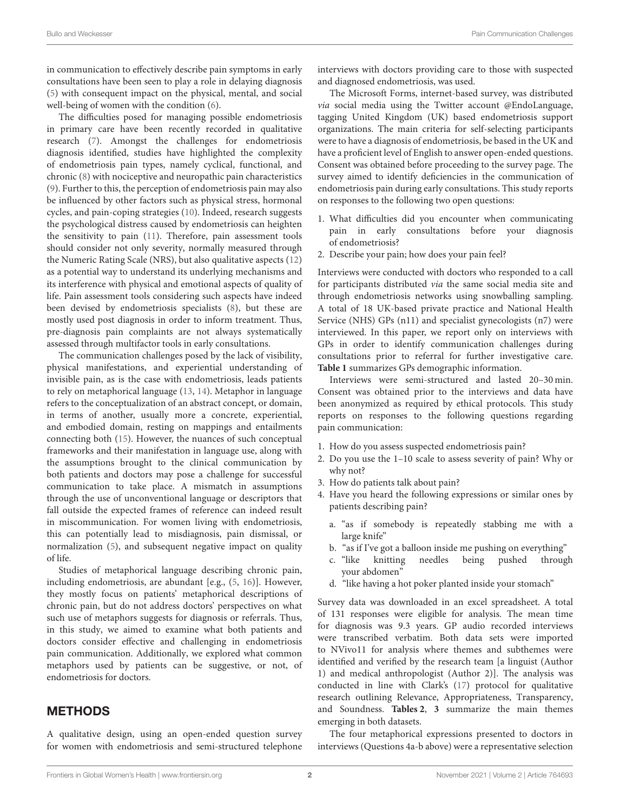in communication to effectively describe pain symptoms in early consultations have been seen to play a role in delaying diagnosis [\(5\)](#page-5-4) with consequent impact on the physical, mental, and social well-being of women with the condition [\(6\)](#page-5-5).

The difficulties posed for managing possible endometriosis in primary care have been recently recorded in qualitative research [\(7\)](#page-5-6). Amongst the challenges for endometriosis diagnosis identified, studies have highlighted the complexity of endometriosis pain types, namely cyclical, functional, and chronic [\(8\)](#page-5-7) with nociceptive and neuropathic pain characteristics [\(9\)](#page-5-8). Further to this, the perception of endometriosis pain may also be influenced by other factors such as physical stress, hormonal cycles, and pain-coping strategies [\(10\)](#page-5-9). Indeed, research suggests the psychological distress caused by endometriosis can heighten the sensitivity to pain [\(11\)](#page-5-10). Therefore, pain assessment tools should consider not only severity, normally measured through the Numeric Rating Scale (NRS), but also qualitative aspects [\(12\)](#page-5-11) as a potential way to understand its underlying mechanisms and its interference with physical and emotional aspects of quality of life. Pain assessment tools considering such aspects have indeed been devised by endometriosis specialists [\(8\)](#page-5-7), but these are mostly used post diagnosis in order to inform treatment. Thus, pre-diagnosis pain complaints are not always systematically assessed through multifactor tools in early consultations.

The communication challenges posed by the lack of visibility, physical manifestations, and experiential understanding of invisible pain, as is the case with endometriosis, leads patients to rely on metaphorical language [\(13,](#page-5-12) [14\)](#page-5-13). Metaphor in language refers to the conceptualization of an abstract concept, or domain, in terms of another, usually more a concrete, experiential, and embodied domain, resting on mappings and entailments connecting both [\(15\)](#page-5-14). However, the nuances of such conceptual frameworks and their manifestation in language use, along with the assumptions brought to the clinical communication by both patients and doctors may pose a challenge for successful communication to take place. A mismatch in assumptions through the use of unconventional language or descriptors that fall outside the expected frames of reference can indeed result in miscommunication. For women living with endometriosis, this can potentially lead to misdiagnosis, pain dismissal, or normalization [\(5\)](#page-5-4), and subsequent negative impact on quality of life.

Studies of metaphorical language describing chronic pain, including endometriosis, are abundant [e.g., [\(5,](#page-5-4) [16\)](#page-5-15)]. However, they mostly focus on patients' metaphorical descriptions of chronic pain, but do not address doctors' perspectives on what such use of metaphors suggests for diagnosis or referrals. Thus, in this study, we aimed to examine what both patients and doctors consider effective and challenging in endometriosis pain communication. Additionally, we explored what common metaphors used by patients can be suggestive, or not, of endometriosis for doctors.

## METHODS

A qualitative design, using an open-ended question survey for women with endometriosis and semi-structured telephone interviews with doctors providing care to those with suspected and diagnosed endometriosis, was used.

The Microsoft Forms, internet-based survey, was distributed via social media using the Twitter account @EndoLanguage, tagging United Kingdom (UK) based endometriosis support organizations. The main criteria for self-selecting participants were to have a diagnosis of endometriosis, be based in the UK and have a proficient level of English to answer open-ended questions. Consent was obtained before proceeding to the survey page. The survey aimed to identify deficiencies in the communication of endometriosis pain during early consultations. This study reports on responses to the following two open questions:

- 1. What difficulties did you encounter when communicating pain in early consultations before your diagnosis of endometriosis?
- 2. Describe your pain; how does your pain feel?

Interviews were conducted with doctors who responded to a call for participants distributed via the same social media site and through endometriosis networks using snowballing sampling. A total of 18 UK-based private practice and National Health Service (NHS) GPs (n11) and specialist gynecologists (n7) were interviewed. In this paper, we report only on interviews with GPs in order to identify communication challenges during consultations prior to referral for further investigative care. **[Table 1](#page-2-0)** summarizes GPs demographic information.

Interviews were semi-structured and lasted 20–30 min. Consent was obtained prior to the interviews and data have been anonymized as required by ethical protocols. This study reports on responses to the following questions regarding pain communication:

- 1. How do you assess suspected endometriosis pain?
- 2. Do you use the 1–10 scale to assess severity of pain? Why or why not?
- 3. How do patients talk about pain?
- 4. Have you heard the following expressions or similar ones by patients describing pain?
	- a. "as if somebody is repeatedly stabbing me with a large knife"
	- b. "as if I've got a balloon inside me pushing on everything"
	- c. "like knitting needles being pushed through your abdomen"
	- d. "like having a hot poker planted inside your stomach"

Survey data was downloaded in an excel spreadsheet. A total of 131 responses were eligible for analysis. The mean time for diagnosis was 9.3 years. GP audio recorded interviews were transcribed verbatim. Both data sets were imported to NVivo11 for analysis where themes and subthemes were identified and verified by the research team [a linguist (Author 1) and medical anthropologist (Author 2)]. The analysis was conducted in line with Clark's [\(17\)](#page-5-16) protocol for qualitative research outlining Relevance, Appropriateness, Transparency, and Soundness. **[Tables 2](#page-2-1)**, **[3](#page-2-2)** summarize the main themes emerging in both datasets.

The four metaphorical expressions presented to doctors in interviews (Questions 4a-b above) were a representative selection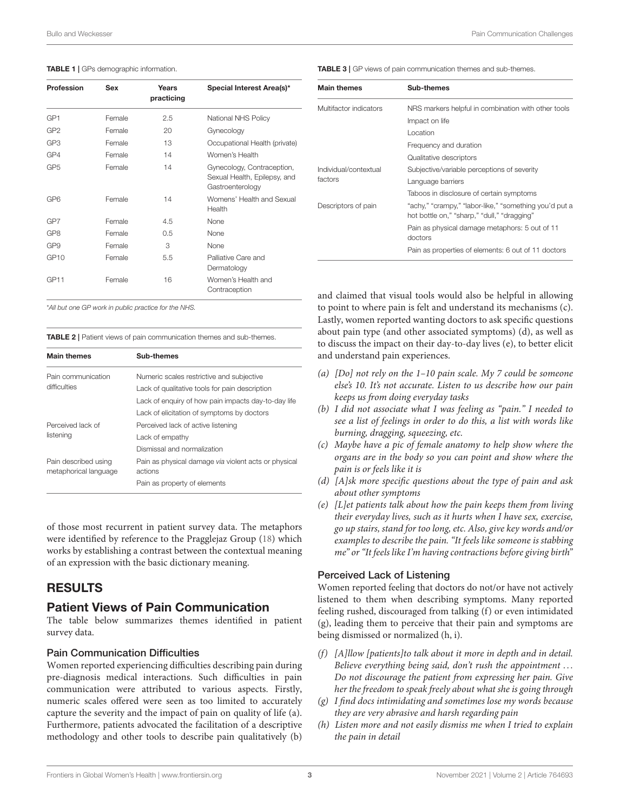#### <span id="page-2-0"></span>TABLE 1 | GPs demographic information.

| Profession       | Sex    | Years<br>practicing | Special Interest Area(s)*                                                      |
|------------------|--------|---------------------|--------------------------------------------------------------------------------|
| GP <sub>1</sub>  | Female | 2.5                 | National NHS Policy                                                            |
| GP <sub>2</sub>  | Female | 20                  | Gynecology                                                                     |
| GP <sub>3</sub>  | Female | 13                  | Occupational Health (private)                                                  |
| GP4              | Female | 14                  | Women's Health                                                                 |
| GP <sub>5</sub>  | Female | 14                  | Gynecology, Contraception,<br>Sexual Health, Epilepsy, and<br>Gastroenterology |
| GP <sub>6</sub>  | Female | 14                  | Womens' Health and Sexual<br>Health                                            |
| GP7              | Female | 4.5                 | None                                                                           |
| GP <sub>8</sub>  | Female | 0.5                 | None                                                                           |
| GP <sub>9</sub>  | Female | 3                   | None                                                                           |
| GP10             | Female | 5.5                 | Palliative Care and<br>Dermatology                                             |
| GP <sub>11</sub> | Female | 16                  | Women's Health and<br>Contraception                                            |
|                  |        |                     |                                                                                |

<span id="page-2-2"></span>TABLE 3 | GP views of pain communication themes and sub-themes.

| <b>Main themes</b>     | Sub-themes                                                                                            |
|------------------------|-------------------------------------------------------------------------------------------------------|
| Multifactor indicators | NRS markers helpful in combination with other tools                                                   |
|                        | Impact on life                                                                                        |
|                        | Location                                                                                              |
|                        | Frequency and duration                                                                                |
|                        | Qualitative descriptors                                                                               |
| Individual/contextual  | Subjective/variable perceptions of severity                                                           |
| factors                | Language barriers                                                                                     |
|                        | Taboos in disclosure of certain symptoms                                                              |
| Descriptors of pain    | "achy," "crampy," "labor-like," "something you'd put a<br>hot bottle on," "sharp," "dull," "dragging" |
|                        | Pain as physical damage metaphors: 5 out of 11<br>doctors                                             |
|                        | Pain as properties of elements: 6 out of 11 doctors                                                   |

and claimed that visual tools would also be helpful in allowing to point to where pain is felt and understand its mechanisms (c). Lastly, women reported wanting doctors to ask specific questions about pain type (and other associated symptoms) (d), as well as to discuss the impact on their day-to-day lives (e), to better elicit and understand pain experiences.

- (a)  $[Do]$  not rely on the 1–10 pain scale. My 7 could be someone else's 10. It's not accurate. Listen to us describe how our pain keeps us from doing everyday tasks
- (b) I did not associate what I was feeling as "pain." I needed to see a list of feelings in order to do this, a list with words like burning, dragging, squeezing, etc.
- (c) Maybe have a pic of female anatomy to help show where the organs are in the body so you can point and show where the pain is or feels like it is
- (d) [A]sk more specific questions about the type of pain and ask about other symptoms
- (e)  $[L]$ et patients talk about how the pain keeps them from living their everyday lives, such as it hurts when I have sex, exercise, go up stairs, stand for too long, etc. Also, give key words and/or examples to describe the pain. "It feels like someone is stabbing me" or "It feels like I'm having contractions before giving birth"

#### Perceived Lack of Listening

Women reported feeling that doctors do not/or have not actively listened to them when describing symptoms. Many reported feeling rushed, discouraged from talking (f) or even intimidated (g), leading them to perceive that their pain and symptoms are being dismissed or normalized (h, i).

- (f) [A]llow [patients]to talk about it more in depth and in detail. Believe everything being said, don't rush the appointment ... Do not discourage the patient from expressing her pain. Give her the freedom to speak freely about what she is going through
- (g) I find docs intimidating and sometimes lose my words because they are very abrasive and harsh regarding pain
- (h) Listen more and not easily dismiss me when I tried to explain the pain in detail

\*All but one GP work in public practice for the NHS.

<span id="page-2-1"></span>TABLE 2 | Patient views of pain communication themes and sub-themes.

| <b>Main themes</b>                            | Sub-themes                                                      |  |
|-----------------------------------------------|-----------------------------------------------------------------|--|
| Pain communication                            | Numeric scales restrictive and subjective                       |  |
| difficulties                                  | Lack of qualitative tools for pain description                  |  |
|                                               | Lack of enguiry of how pain impacts day-to-day life             |  |
|                                               | Lack of elicitation of symptoms by doctors                      |  |
| Perceived lack of                             | Perceived lack of active listening                              |  |
| listening                                     | Lack of empathy                                                 |  |
|                                               | Dismissal and normalization                                     |  |
| Pain described using<br>metaphorical language | Pain as physical damage via violent acts or physical<br>actions |  |
|                                               | Pain as property of elements                                    |  |

of those most recurrent in patient survey data. The metaphors were identified by reference to the Pragglejaz Group [\(18\)](#page-5-17) which works by establishing a contrast between the contextual meaning of an expression with the basic dictionary meaning.

## RESULTS

## Patient Views of Pain Communication

The table below summarizes themes identified in patient survey data.

#### Pain Communication Difficulties

Women reported experiencing difficulties describing pain during pre-diagnosis medical interactions. Such difficulties in pain communication were attributed to various aspects. Firstly, numeric scales offered were seen as too limited to accurately capture the severity and the impact of pain on quality of life (a). Furthermore, patients advocated the facilitation of a descriptive methodology and other tools to describe pain qualitatively (b)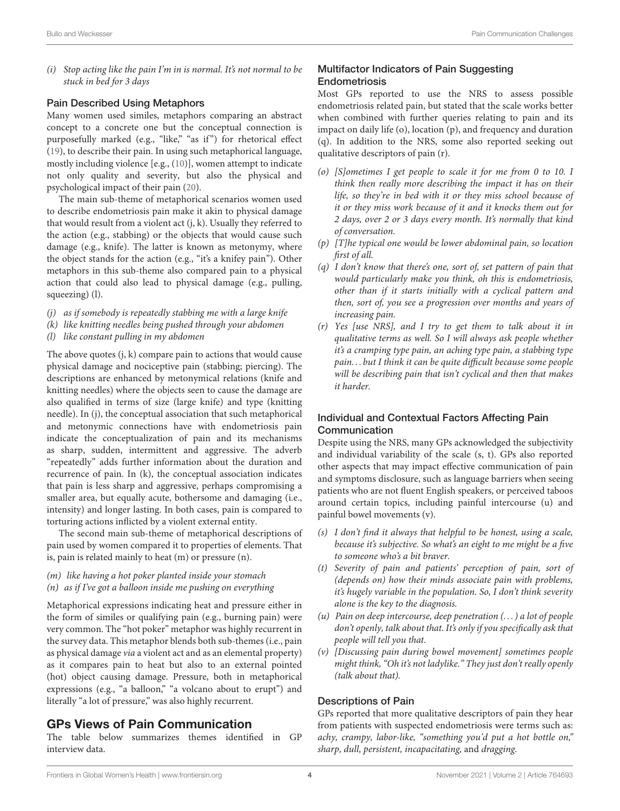(i) Stop acting like the pain I'm in is normal. It's not normal to be stuck in bed for 3 days

#### Pain Described Using Metaphors

Many women used similes, metaphors comparing an abstract concept to a concrete one but the conceptual connection is purposefully marked (e.g., "like," "as if") for rhetorical effect [\(19\)](#page-5-18), to describe their pain. In using such metaphorical language, mostly including violence [e.g., [\(10\)](#page-5-9)], women attempt to indicate not only quality and severity, but also the physical and psychological impact of their pain [\(20\)](#page-5-19).

The main sub-theme of metaphorical scenarios women used to describe endometriosis pain make it akin to physical damage that would result from a violent act (j, k). Usually they referred to the action (e.g., stabbing) or the objects that would cause such damage (e.g., knife). The latter is known as metonymy, where the object stands for the action (e.g., "it's a knifey pain"). Other metaphors in this sub-theme also compared pain to a physical action that could also lead to physical damage (e.g., pulling, squeezing) (l).

- (j) as if somebody is repeatedly stabbing me with a large knife
- (k) like knitting needles being pushed through your abdomen
- (l) like constant pulling in my abdomen

The above quotes (j, k) compare pain to actions that would cause physical damage and nociceptive pain (stabbing; piercing). The descriptions are enhanced by metonymical relations (knife and knitting needles) where the objects seen to cause the damage are also qualified in terms of size (large knife) and type (knitting needle). In (j), the conceptual association that such metaphorical and metonymic connections have with endometriosis pain indicate the conceptualization of pain and its mechanisms as sharp, sudden, intermittent and aggressive. The adverb "repeatedly" adds further information about the duration and recurrence of pain. In (k), the conceptual association indicates that pain is less sharp and aggressive, perhaps compromising a smaller area, but equally acute, bothersome and damaging (i.e., intensity) and longer lasting. In both cases, pain is compared to torturing actions inflicted by a violent external entity.

The second main sub-theme of metaphorical descriptions of pain used by women compared it to properties of elements. That is, pain is related mainly to heat (m) or pressure (n).

- (m) like having a hot poker planted inside your stomach
- $(n)$  as if I've got a balloon inside me pushing on everything

Metaphorical expressions indicating heat and pressure either in the form of similes or qualifying pain (e.g., burning pain) were very common. The "hot poker" metaphor was highly recurrent in the survey data. This metaphor blends both sub-themes (i.e., pain as physical damage via a violent act and as an elemental property) as it compares pain to heat but also to an external pointed (hot) object causing damage. Pressure, both in metaphorical expressions (e.g., "a balloon," "a volcano about to erupt") and literally "a lot of pressure," was also highly recurrent.

## GPs Views of Pain Communication

The table below summarizes themes identified in GP interview data.

#### Multifactor Indicators of Pain Suggesting Endometriosis

Most GPs reported to use the NRS to assess possible endometriosis related pain, but stated that the scale works better when combined with further queries relating to pain and its impact on daily life (o), location (p), and frequency and duration (q). In addition to the NRS, some also reported seeking out qualitative descriptors of pain (r).

- (o) [S]ometimes I get people to scale it for me from 0 to 10. I think then really more describing the impact it has on their life, so they're in bed with it or they miss school because of it or they miss work because of it and it knocks them out for 2 days, over 2 or 3 days every month. It's normally that kind of conversation.
- (p) [T]he typical one would be lower abdominal pain, so location first of all.
- (q) I don't know that there's one, sort of, set pattern of pain that would particularly make you think, oh this is endometriosis, other than if it starts initially with a cyclical pattern and then, sort of, you see a progression over months and years of increasing pain.
- (r) Yes [use NRS], and I try to get them to talk about it in qualitative terms as well. So I will always ask people whether it's a cramping type pain, an aching type pain, a stabbing type pain. . . but I think it can be quite difficult because some people will be describing pain that isn't cyclical and then that makes it harder.

## Individual and Contextual Factors Affecting Pain **Communication**

Despite using the NRS, many GPs acknowledged the subjectivity and individual variability of the scale (s, t). GPs also reported other aspects that may impact effective communication of pain and symptoms disclosure, such as language barriers when seeing patients who are not fluent English speakers, or perceived taboos around certain topics, including painful intercourse (u) and painful bowel movements (v).

- (s) I don't find it always that helpful to be honest, using a scale, because it's subjective. So what's an eight to me might be a five to someone who's a bit braver.
- (t) Severity of pain and patients' perception of pain, sort of (depends on) how their minds associate pain with problems, it's hugely variable in the population. So, I don't think severity alone is the key to the diagnosis.
- (u) Pain on deep intercourse, deep penetration  $(...)$  a lot of people don't openly, talk about that. It's only if you specifically ask that people will tell you that.
- (v) [Discussing pain during bowel movement] sometimes people might think, "Oh it's not ladylike." They just don't really openly (talk about that).

## Descriptions of Pain

GPs reported that more qualitative descriptors of pain they hear from patients with suspected endometriosis were terms such as: achy, crampy, labor-like, "something you'd put a hot bottle on," sharp, dull, persistent, incapacitating, and dragging.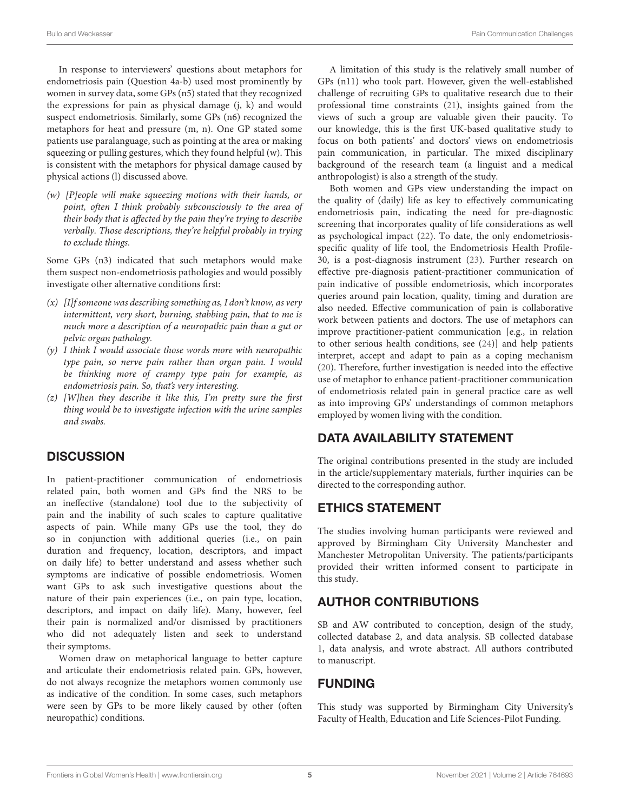In response to interviewers' questions about metaphors for endometriosis pain (Question 4a-b) used most prominently by women in survey data, some GPs (n5) stated that they recognized the expressions for pain as physical damage (j, k) and would suspect endometriosis. Similarly, some GPs (n6) recognized the metaphors for heat and pressure (m, n). One GP stated some patients use paralanguage, such as pointing at the area or making squeezing or pulling gestures, which they found helpful (w). This is consistent with the metaphors for physical damage caused by physical actions (l) discussed above.

(w) [P]eople will make squeezing motions with their hands, or point, often I think probably subconsciously to the area of their body that is affected by the pain they're trying to describe verbally. Those descriptions, they're helpful probably in trying to exclude things.

Some GPs (n3) indicated that such metaphors would make them suspect non-endometriosis pathologies and would possibly investigate other alternative conditions first:

- $(x)$  [I]f someone was describing something as, I don't know, as very intermittent, very short, burning, stabbing pain, that to me is much more a description of a neuropathic pain than a gut or pelvic organ pathology.
- (y) I think I would associate those words more with neuropathic type pain, so nerve pain rather than organ pain. I would be thinking more of crampy type pain for example, as endometriosis pain. So, that's very interesting.
- $(z)$  [W]hen they describe it like this, I'm pretty sure the first thing would be to investigate infection with the urine samples and swabs.

## **DISCUSSION**

In patient-practitioner communication of endometriosis related pain, both women and GPs find the NRS to be an ineffective (standalone) tool due to the subjectivity of pain and the inability of such scales to capture qualitative aspects of pain. While many GPs use the tool, they do so in conjunction with additional queries (i.e., on pain duration and frequency, location, descriptors, and impact on daily life) to better understand and assess whether such symptoms are indicative of possible endometriosis. Women want GPs to ask such investigative questions about the nature of their pain experiences (i.e., on pain type, location, descriptors, and impact on daily life). Many, however, feel their pain is normalized and/or dismissed by practitioners who did not adequately listen and seek to understand their symptoms.

Women draw on metaphorical language to better capture and articulate their endometriosis related pain. GPs, however, do not always recognize the metaphors women commonly use as indicative of the condition. In some cases, such metaphors were seen by GPs to be more likely caused by other (often neuropathic) conditions.

A limitation of this study is the relatively small number of GPs (n11) who took part. However, given the well-established challenge of recruiting GPs to qualitative research due to their professional time constraints [\(21\)](#page-5-20), insights gained from the views of such a group are valuable given their paucity. To our knowledge, this is the first UK-based qualitative study to focus on both patients' and doctors' views on endometriosis pain communication, in particular. The mixed disciplinary background of the research team (a linguist and a medical anthropologist) is also a strength of the study.

Both women and GPs view understanding the impact on the quality of (daily) life as key to effectively communicating endometriosis pain, indicating the need for pre-diagnostic screening that incorporates quality of life considerations as well as psychological impact [\(22\)](#page-5-21). To date, the only endometriosisspecific quality of life tool, the Endometriosis Health Profile-30, is a post-diagnosis instrument [\(23\)](#page-5-22). Further research on effective pre-diagnosis patient-practitioner communication of pain indicative of possible endometriosis, which incorporates queries around pain location, quality, timing and duration are also needed. Effective communication of pain is collaborative work between patients and doctors. The use of metaphors can improve practitioner-patient communication [e.g., in relation to other serious health conditions, see [\(24\)](#page-5-23)] and help patients interpret, accept and adapt to pain as a coping mechanism [\(20\)](#page-5-19). Therefore, further investigation is needed into the effective use of metaphor to enhance patient-practitioner communication of endometriosis related pain in general practice care as well as into improving GPs' understandings of common metaphors employed by women living with the condition.

## DATA AVAILABILITY STATEMENT

The original contributions presented in the study are included in the article/supplementary materials, further inquiries can be directed to the corresponding author.

## ETHICS STATEMENT

The studies involving human participants were reviewed and approved by Birmingham City University Manchester and Manchester Metropolitan University. The patients/participants provided their written informed consent to participate in this study.

## AUTHOR CONTRIBUTIONS

SB and AW contributed to conception, design of the study, collected database 2, and data analysis. SB collected database 1, data analysis, and wrote abstract. All authors contributed to manuscript.

## FUNDING

This study was supported by Birmingham City University's Faculty of Health, Education and Life Sciences-Pilot Funding.